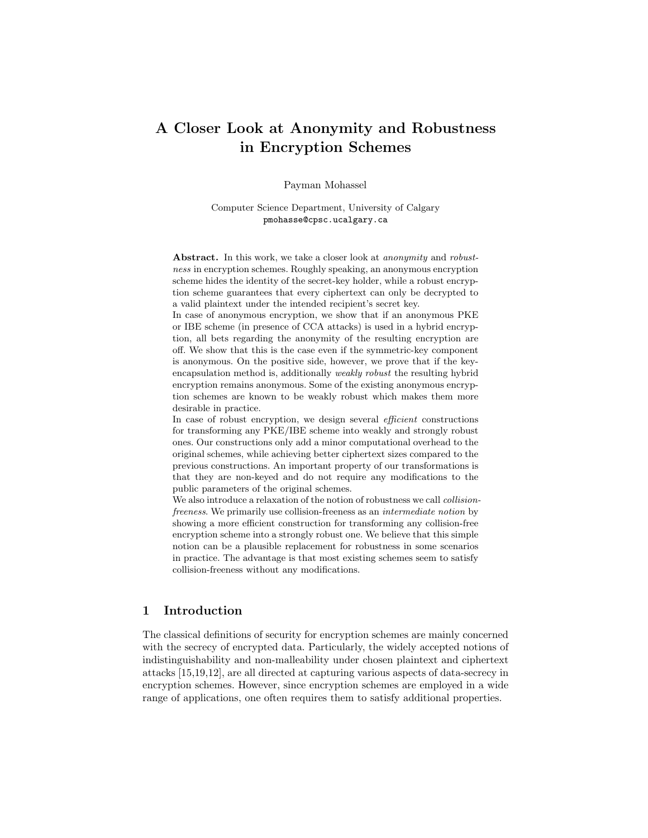# **A Closer Look at Anonymity and Robustness in Encryption Schemes**

Payman Mohassel

Computer Science Department, University of Calgary pmohasse@cpsc.ucalgary.ca

**Abstract.** In this work, we take a closer look at *anonymity* and *robustness* in encryption schemes. Roughly speaking, an anonymous encryption scheme hides the identity of the secret-key holder, while a robust encryption scheme guarantees that every ciphertext can only be decrypted to a valid plaintext under the intended recipient's secret key.

In case of anonymous encryption, we show that if an anonymous PKE or IBE scheme (in presence of CCA attacks) is used in a hybrid encryption, all bets regarding the anonymity of the resulting encryption are off. We show that this is the case even if the symmetric-key component is anonymous. On the positive side, however, we prove that if the keyencapsulation method is, additionally *weakly robust* the resulting hybrid encryption remains anonymous. Some of the existing anonymous encryption schemes are known to be weakly robust which makes them more desirable in practice.

In case of robust encryption, we design several *efficient* constructions for transforming any PKE/IBE scheme into weakly and strongly robust ones. Our constructions only add a minor computational overhead to the original schemes, while achieving better ciphertext sizes compared to the previous constructions. An important property of our transformations is that they are non-keyed and do not require any modifications to the public parameters of the original schemes.

We also introduce a relaxation of the notion of robustness we call *collisionfreeness*. We primarily use collision-freeness as an *intermediate notion* by showing a more efficient construction for transforming any collision-free encryption scheme into a strongly robust one. We believe that this simple notion can be a plausible replacement for robustness in some scenarios in practice. The advantage is that most existing schemes seem to satisfy collision-freeness without any modifications.

# **1 Introduction**

The classical definitions of security for encryption schemes are mainly concerned with the secrecy of encrypted data. Particularly, the widely accepted notions of indistinguishability and non-malleability under chosen plaintext and ciphertext attacks [15,19,12], are all directed at capturing various aspects of data-secrecy in encryption schemes. However, since encryption schemes are employed in a wide range of applications, one often requires them to satisfy additional properties.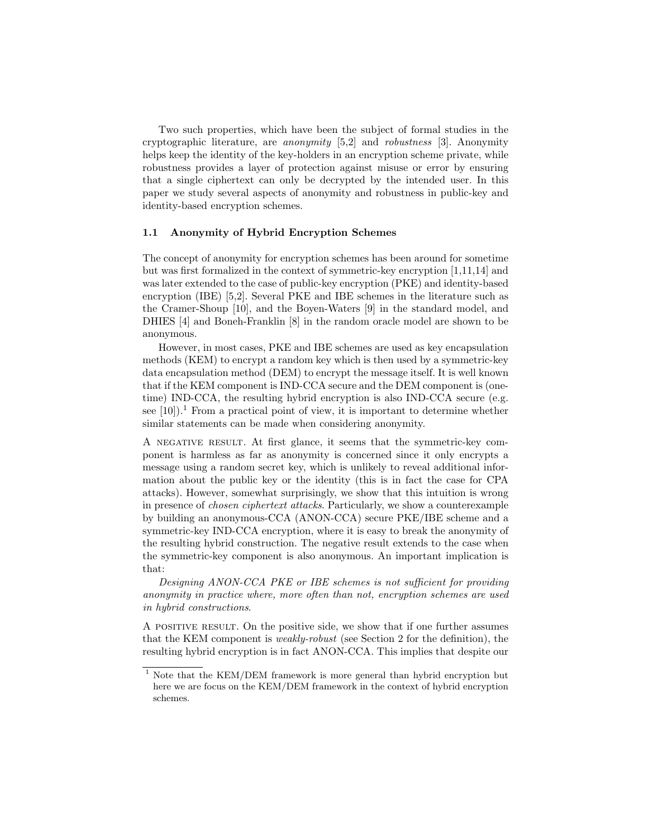Two such properties, which have been the subject of formal studies in the cryptographic literature, are *anonymity* [5,2] and *robustness* [3]. Anonymity helps keep the identity of the key-holders in an encryption scheme private, while robustness provides a layer of protection against misuse or error by ensuring that a single ciphertext can only be decrypted by the intended user. In this paper we study several aspects of anonymity and robustness in public-key and identity-based encryption schemes.

#### **1.1 Anonymity of Hybrid Encryption Schemes**

The concept of anonymity for encryption schemes has been around for sometime but was first formalized in the context of symmetric-key encryption [1,11,14] and was later extended to the case of public-key encryption (PKE) and identity-based encryption (IBE) [5,2]. Several PKE and IBE schemes in the literature such as the Cramer-Shoup [10], and the Boyen-Waters [9] in the standard model, and DHIES [4] and Boneh-Franklin [8] in the random oracle model are shown to be anonymous.

However, in most cases, PKE and IBE schemes are used as key encapsulation methods (KEM) to encrypt a random key which is then used by a symmetric-key data encapsulation method (DEM) to encrypt the message itself. It is well known that if the KEM component is IND-CCA secure and the DEM component is (onetime) IND-CCA, the resulting hybrid encryption is also IND-CCA secure (e.g. see  $[10]$ .<sup>1</sup> From a practical point of view, it is important to determine whether similar statements can be made when considering anonymity.

A negative result. At first glance, it seems that the symmetric-key component is harmless as far as anonymity is concerned since it only encrypts a message using a random secret key, which is unlikely to reveal additional information about the public key or the identity (this is in fact the case for CPA attacks). However, somewhat surprisingly, we show that this intuition is wrong in presence of *chosen ciphertext attacks*. Particularly, we show a counterexample by building an anonymous-CCA (ANON-CCA) secure PKE/IBE scheme and a symmetric-key IND-CCA encryption, where it is easy to break the anonymity of the resulting hybrid construction. The negative result extends to the case when the symmetric-key component is also anonymous. An important implication is that:

*Designing ANON-CCA PKE or IBE schemes is not sufficient for providing anonymity in practice where, more often than not, encryption schemes are used in hybrid constructions*.

A positive result. On the positive side, we show that if one further assumes that the KEM component is *weakly-robust* (see Section 2 for the definition), the resulting hybrid encryption is in fact ANON-CCA. This implies that despite our

<sup>&</sup>lt;sup>1</sup> Note that the KEM/DEM framework is more general than hybrid encryption but here we are focus on the KEM/DEM framework in the context of hybrid encryption schemes.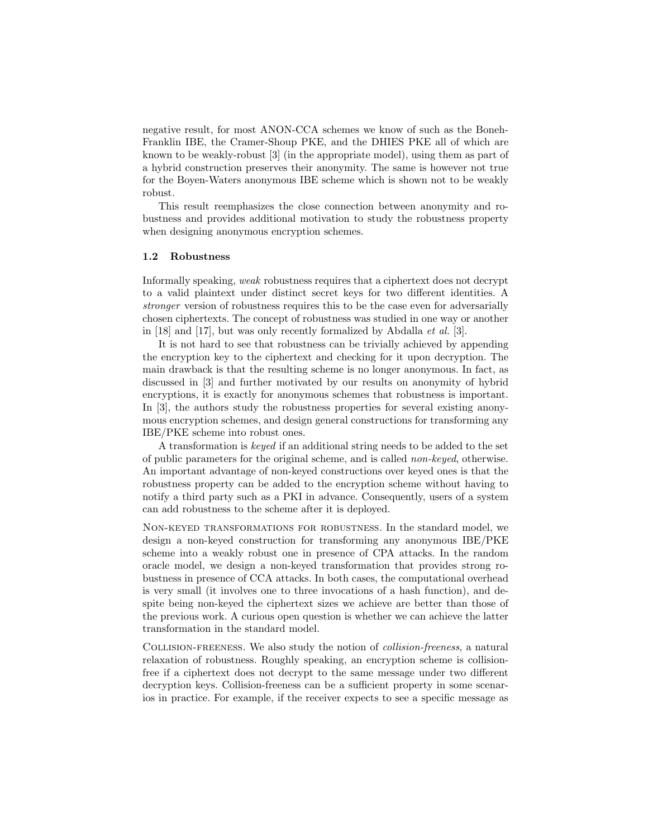negative result, for most ANON-CCA schemes we know of such as the Boneh-Franklin IBE, the Cramer-Shoup PKE, and the DHIES PKE all of which are known to be weakly-robust [3] (in the appropriate model), using them as part of a hybrid construction preserves their anonymity. The same is however not true for the Boyen-Waters anonymous IBE scheme which is shown not to be weakly robust.

This result reemphasizes the close connection between anonymity and robustness and provides additional motivation to study the robustness property when designing anonymous encryption schemes.

#### **1.2 Robustness**

Informally speaking, *weak* robustness requires that a ciphertext does not decrypt to a valid plaintext under distinct secret keys for two different identities. A *stronger* version of robustness requires this to be the case even for adversarially chosen ciphertexts. The concept of robustness was studied in one way or another in [18] and [17], but was only recently formalized by Abdalla *et al.* [3].

It is not hard to see that robustness can be trivially achieved by appending the encryption key to the ciphertext and checking for it upon decryption. The main drawback is that the resulting scheme is no longer anonymous. In fact, as discussed in [3] and further motivated by our results on anonymity of hybrid encryptions, it is exactly for anonymous schemes that robustness is important. In [3], the authors study the robustness properties for several existing anonymous encryption schemes, and design general constructions for transforming any IBE/PKE scheme into robust ones.

A transformation is *keyed* if an additional string needs to be added to the set of public parameters for the original scheme, and is called *non-keyed*, otherwise. An important advantage of non-keyed constructions over keyed ones is that the robustness property can be added to the encryption scheme without having to notify a third party such as a PKI in advance. Consequently, users of a system can add robustness to the scheme after it is deployed.

Non-keyed transformations for robustness. In the standard model, we design a non-keyed construction for transforming any anonymous IBE/PKE scheme into a weakly robust one in presence of CPA attacks. In the random oracle model, we design a non-keyed transformation that provides strong robustness in presence of CCA attacks. In both cases, the computational overhead is very small (it involves one to three invocations of a hash function), and despite being non-keyed the ciphertext sizes we achieve are better than those of the previous work. A curious open question is whether we can achieve the latter transformation in the standard model.

Collision-freeness. We also study the notion of *collision-freeness*, a natural relaxation of robustness. Roughly speaking, an encryption scheme is collisionfree if a ciphertext does not decrypt to the same message under two different decryption keys. Collision-freeness can be a sufficient property in some scenarios in practice. For example, if the receiver expects to see a specific message as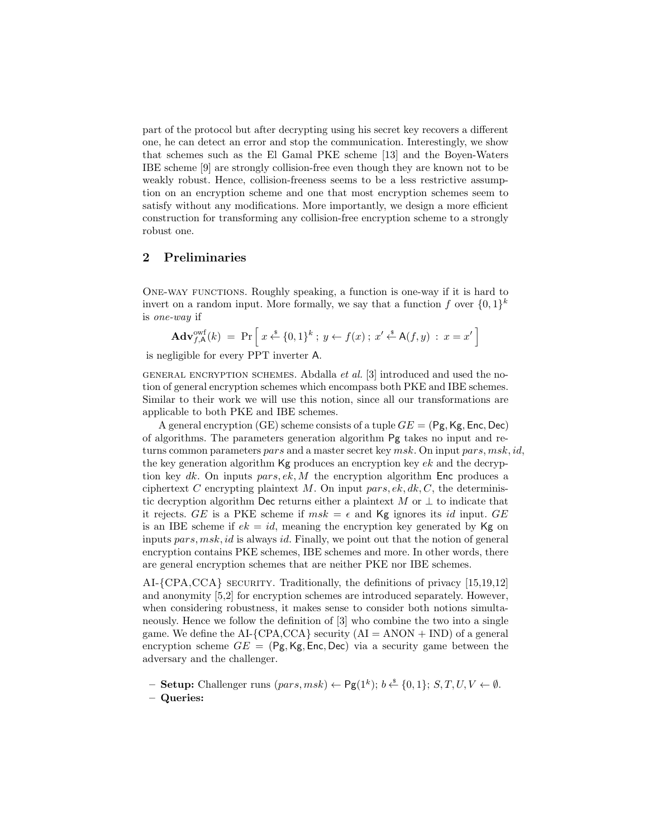part of the protocol but after decrypting using his secret key recovers a different one, he can detect an error and stop the communication. Interestingly, we show that schemes such as the El Gamal PKE scheme [13] and the Boyen-Waters IBE scheme [9] are strongly collision-free even though they are known not to be weakly robust. Hence, collision-freeness seems to be a less restrictive assumption on an encryption scheme and one that most encryption schemes seem to satisfy without any modifications. More importantly, we design a more efficient construction for transforming any collision-free encryption scheme to a strongly robust one.

# **2 Preliminaries**

One-way functions. Roughly speaking, a function is one-way if it is hard to invert on a random input. More formally, we say that a function  $f$  over  $\{0,1\}^k$ is *one-way* if

$$
\mathbf{Adv}_{f,\mathsf{A}}^{\text{owf}}(k) = \Pr\left[x \stackrel{\hspace{0.1em}\mathsf{\scriptscriptstyle\$}}{\leftarrow} \{0,1\}^k \; ; \; y \leftarrow f(x) \; ; \; x' \stackrel{\hspace{0.1em}\mathsf{\scriptscriptstyle\$}}{\leftarrow} \mathsf{A}(f,y) \; : \; x = x'\right]
$$

is negligible for every PPT inverter A.

general encryption schemes. Abdalla *et al.* [3] introduced and used the notion of general encryption schemes which encompass both PKE and IBE schemes. Similar to their work we will use this notion, since all our transformations are applicable to both PKE and IBE schemes.

A general encryption (GE) scheme consists of a tuple *GE* = (Pg*,*Kg*,* Enc*,* Dec) of algorithms. The parameters generation algorithm Pg takes no input and returns common parameters *pars* and a master secret key *msk*. On input *pars, msk, id*, the key generation algorithm Kg produces an encryption key *ek* and the decryption key *dk*. On inputs *pars, ek, M* the encryption algorithm Enc produces a ciphertext *C* encrypting plaintext *M*. On input *pars, ek, dk, C*, the deterministic decryption algorithm Dec returns either a plaintext *M* or *⊥* to indicate that it rejects. *GE* is a PKE scheme if  $msk = \epsilon$  and Kg ignores its *id* input. *GE* is an IBE scheme if  $ek = id$ , meaning the encryption key generated by Kg on inputs *pars, msk, id* is always *id*. Finally, we point out that the notion of general encryption contains PKE schemes, IBE schemes and more. In other words, there are general encryption schemes that are neither PKE nor IBE schemes.

AI-{CPA, CCA} securative. Traditionally, the definitions of privacy [15,19,12] and anonymity [5,2] for encryption schemes are introduced separately. However, when considering robustness, it makes sense to consider both notions simultaneously. Hence we follow the definition of [3] who combine the two into a single game. We define the AI-*{*CPA,CCA*}* security (AI = ANON + IND) of a general encryption scheme  $GE = (Pg, Kg, Enc, Dec)$  via a security game between the adversary and the challenger.

**– Setup:** Challenger runs (*pars, msk*) *←* Pg(1*<sup>k</sup>* ); *b* \$*← {*0*,* 1*}*; *S, T, U, V ← ∅*.

**<sup>–</sup> Queries:**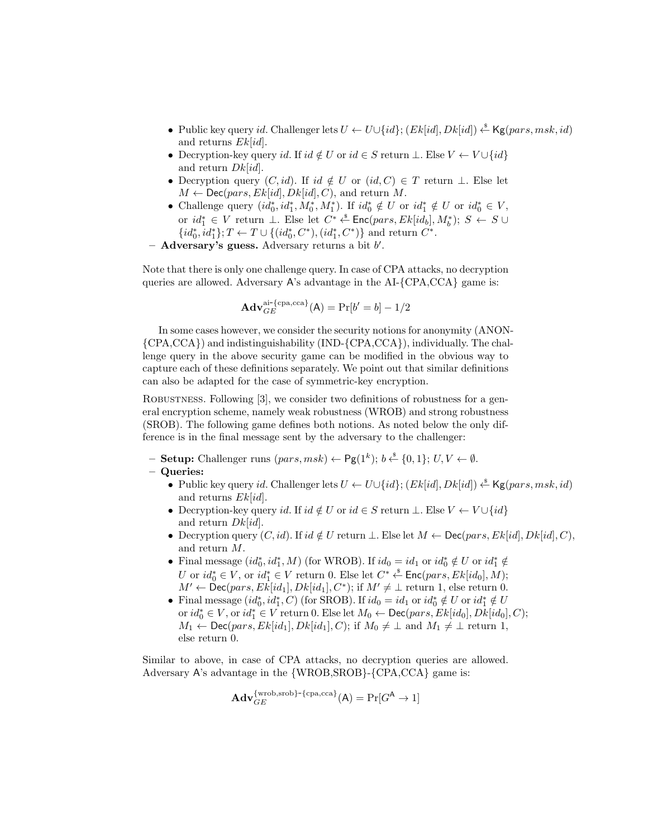- *•* Public key query *id*. Challenger lets *U ← U∪{id}*; (*Ek*[*id*]*, Dk*[*id*]) \$*←* Kg(*pars, msk, id*) and returns *Ek*[*id*].
- Decryption-key query *id*. If  $id \notin U$  or  $id \in S$  return ⊥. Else  $V \leftarrow V \cup \{id\}$ and return *Dk*[*id*].
- Decryption query  $(C, id)$ . If  $id \notin U$  or  $(id, C) \in T$  return  $\perp$ . Else let  $M \leftarrow \text{Dec}(pars, Ek[id], Dk[id], C),$  and return *M*.
- Challenge query  $(id_0^*, id_1^*, M_0^*, M_1^*)$ . If  $id_0^* \notin U$  or  $id_1^* \notin U$  or  $id_0^* \in V$ , or  $id_1^*$  ∈ *V* return ⊥. Else let  $C^* \xleftarrow{\$} \textsf{Enc}(pars, Ek[iid_b], M_b^*)$ ;  $S \leftarrow S \cup$  $\{id_0^*,id_1^*\}; T \leftarrow T \cup \{(id_0^*,C^*),(id_1^*,C^*)\}$  and return  $C^*$ .
- **– Adversary's guess.** Adversary returns a bit *b ′* .

Note that there is only one challenge query. In case of CPA attacks, no decryption queries are allowed. Adversary A's advantage in the AI-*{*CPA,CCA*}* game is:

$$
\mathbf{Adv}_{GE}^{\text{ai-}\{\text{cpa},\text{cca}\}}(\mathsf{A}) = \Pr[b' = b] - 1/2
$$

In some cases however, we consider the security notions for anonymity (ANON- *{*CPA,CCA*}*) and indistinguishability (IND-*{*CPA,CCA*}*), individually. The challenge query in the above security game can be modified in the obvious way to capture each of these definitions separately. We point out that similar definitions can also be adapted for the case of symmetric-key encryption.

ROBUSTNESS. Following [3], we consider two definitions of robustness for a general encryption scheme, namely weak robustness (WROB) and strong robustness (SROB). The following game defines both notions. As noted below the only difference is in the final message sent by the adversary to the challenger:

- **– Setup:** Challenger runs (*pars, msk*) *←* Pg(1*<sup>k</sup>* ); *b* \$*← {*0*,* 1*}*; *U, V ← ∅*.
- **– Queries:**
	- *•* Public key query *id*. Challenger lets *U ← U∪{id}*; (*Ek*[*id*]*, Dk*[*id*]) \$*←* Kg(*pars, msk, id*) and returns *Ek*[*id*].
	- Decryption-key query *id*. If *id*  $\notin U$  or *id*  $\in S$  return  $\bot$ . Else  $V \leftarrow V \cup \{id\}$ and return *Dk*[*id*].
	- *•* Decryption query (*C, id*). If *id /∈ U* return *⊥*. Else let *M ←* Dec(*pars, Ek*[*id*]*, Dk*[*id*]*, C*), and return *M*.
	- Final message  $(id_0^*, id_1^*, M)$  (for WROB). If  $id_0 = id_1$  or  $id_0^* \notin U$  or  $id_1^* \notin$ *U* or  $id_0^* \in V$ , or  $id_1^* \in V$  return 0. Else let  $C^* \xleftarrow{\$} \textsf{Enc}(pars, Ek[id_0], M)$ ; *M*<sup>*′*</sup> ← Dec(*pars, Ek*[*id*<sub>1</sub>]*, Dk*[*id*<sub>1</sub>]*, C*<sup>\*</sup>); if  $M' \neq \bot$  return 1, else return 0.
	- *•* Final message  $(id_0^*, id_1^*, C)$  (for SROB). If  $id_0 = id_1$  or  $id_0^* \notin U$  or  $id_1^* \notin U$  $\text{or } id_0^* \in V, \text{ or } id_1^* \in V \text{ return } 0. \text{ Else let } M_0 \leftarrow \text{Dec}(pars, Ek[id_0], Dkl[d_0], C);$  $M_1 \leftarrow \text{Dec}(pars, Ek[id_1], Dk[id_1], C)$ ; if  $M_0 \neq \perp$  and  $M_1 \neq \perp$  return 1, else return 0.

Similar to above, in case of CPA attacks, no decryption queries are allowed. Adversary A's advantage in the *{*WROB,SROB*}*-*{*CPA,CCA*}* game is:

$$
\mathbf{Adv}_{GE}^{\{\text{wrob}, \text{srob}\}\text{-}\{\text{cpa}, \text{cca}\}}(A) = \Pr[G^A \to 1]
$$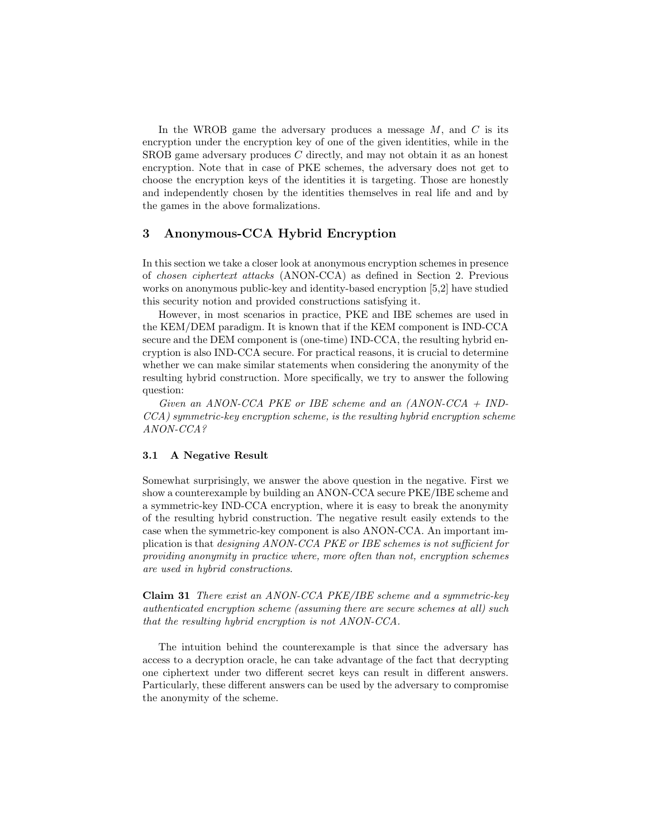In the WROB game the adversary produces a message *M*, and *C* is its encryption under the encryption key of one of the given identities, while in the SROB game adversary produces *C* directly, and may not obtain it as an honest encryption. Note that in case of PKE schemes, the adversary does not get to choose the encryption keys of the identities it is targeting. Those are honestly and independently chosen by the identities themselves in real life and and by the games in the above formalizations.

# **3 Anonymous-CCA Hybrid Encryption**

In this section we take a closer look at anonymous encryption schemes in presence of *chosen ciphertext attacks* (ANON-CCA) as defined in Section 2. Previous works on anonymous public-key and identity-based encryption [5,2] have studied this security notion and provided constructions satisfying it.

However, in most scenarios in practice, PKE and IBE schemes are used in the KEM/DEM paradigm. It is known that if the KEM component is IND-CCA secure and the DEM component is (one-time) IND-CCA, the resulting hybrid encryption is also IND-CCA secure. For practical reasons, it is crucial to determine whether we can make similar statements when considering the anonymity of the resulting hybrid construction. More specifically, we try to answer the following question:

*Given an ANON-CCA PKE or IBE scheme and an (ANON-CCA + IND-CCA) symmetric-key encryption scheme, is the resulting hybrid encryption scheme ANON-CCA?*

#### **3.1 A Negative Result**

Somewhat surprisingly, we answer the above question in the negative. First we show a counterexample by building an ANON-CCA secure PKE/IBE scheme and a symmetric-key IND-CCA encryption, where it is easy to break the anonymity of the resulting hybrid construction. The negative result easily extends to the case when the symmetric-key component is also ANON-CCA. An important implication is that *designing ANON-CCA PKE or IBE schemes is not sufficient for providing anonymity in practice where, more often than not, encryption schemes are used in hybrid constructions*.

**Claim 31** *There exist an ANON-CCA PKE/IBE scheme and a symmetric-key authenticated encryption scheme (assuming there are secure schemes at all) such that the resulting hybrid encryption is not ANON-CCA.*

The intuition behind the counterexample is that since the adversary has access to a decryption oracle, he can take advantage of the fact that decrypting one ciphertext under two different secret keys can result in different answers. Particularly, these different answers can be used by the adversary to compromise the anonymity of the scheme.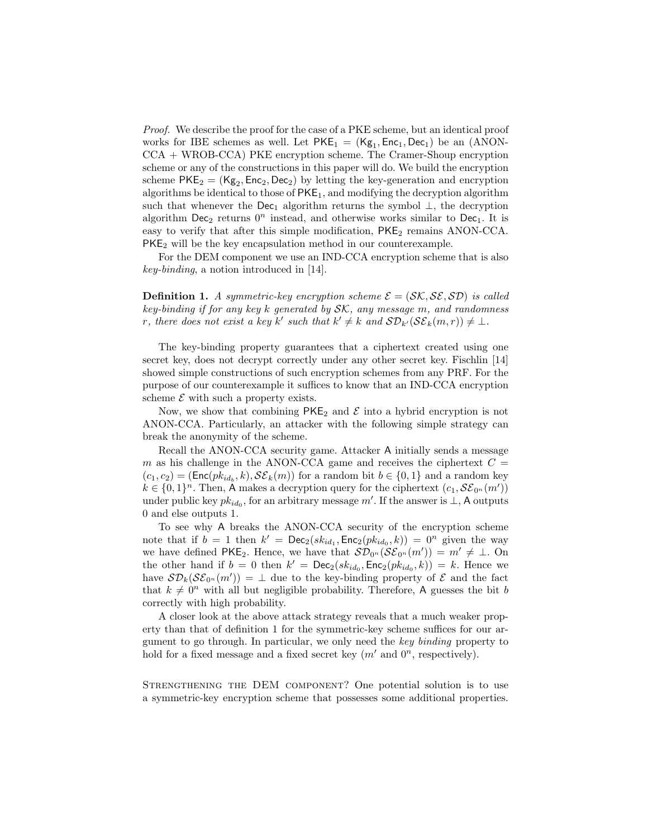*Proof.* We describe the proof for the case of a PKE scheme, but an identical proof works for IBE schemes as well. Let  $PKE_1 = (Kg_1, Enc_1, Dec_1)$  be an (ANON-CCA + WROB-CCA) PKE encryption scheme. The Cramer-Shoup encryption scheme or any of the constructions in this paper will do. We build the encryption scheme  $PKE_2 = (Kg_2, Enc_2, Dec_2)$  by letting the key-generation and encryption algorithms be identical to those of  $PKE<sub>1</sub>$ , and modifying the decryption algorithm such that whenever the Dec<sub>1</sub> algorithm returns the symbol  $\perp$ , the decryption algorithm  $Dec_2$  returns  $0^n$  instead, and otherwise works similar to  $Dec_1$ . It is easy to verify that after this simple modification,  $PKE_2$  remains ANON-CCA.  $PKE<sub>2</sub>$  will be the key encapsulation method in our counterexample.

For the DEM component we use an IND-CCA encryption scheme that is also *key-binding*, a notion introduced in [14].

**Definition 1.** *A symmetric-key encryption scheme*  $\mathcal{E} = (\mathcal{SK}, \mathcal{SE}, \mathcal{SD})$  *is called key-binding if for any key k generated by SK, any message m, and randomness r*, there does not exist a key  $k'$  such that  $k' \neq k$  and  $\mathcal{SD}_{k'}(\mathcal{SE}_k(m,r)) \neq \bot$ .

The key-binding property guarantees that a ciphertext created using one secret key, does not decrypt correctly under any other secret key. Fischlin [14] showed simple constructions of such encryption schemes from any PRF. For the purpose of our counterexample it suffices to know that an IND-CCA encryption scheme  $\mathcal E$  with such a property exists.

Now, we show that combining  $PKE_2$  and  $\mathcal E$  into a hybrid encryption is not ANON-CCA. Particularly, an attacker with the following simple strategy can break the anonymity of the scheme.

Recall the ANON-CCA security game. Attacker A initially sends a message *m* as his challenge in the ANON-CCA game and receives the ciphertext  $C =$  $(c_1, c_2) = (\text{Enc}(pk_{id_b}, k), \mathcal{SE}_k(m))$  for a random bit  $b \in \{0, 1\}$  and a random key  $k \in \{0,1\}^n$ . Then, A makes a decryption query for the ciphertext  $(c_1, \mathcal{SE}_{0^n}(m'))$ under public key  $pk_{id_0}$ , for an arbitrary message  $m'$ . If the answer is  $\perp$ , A outputs 0 and else outputs 1.

To see why A breaks the ANON-CCA security of the encryption scheme note that if  $b = 1$  then  $k' = \text{Dec}_2(sk_{id_1}, \text{Enc}_2(pk_{id_0}, k)) = 0^n$  given the way we have defined  $PKE_2$ . Hence, we have that  $\mathcal{SD}_{0^n}(\mathcal{SE}_{0^n}(m')) = m' \neq \perp$ . On the other hand if  $b = 0$  then  $k' = \text{Dec}_2(sk_{id_0}, \text{Enc}_2(pk_{id_0}, k)) = k$ . Hence we have  $\mathcal{SD}_k(\mathcal{SE}_{0^n}(m')) = \perp$  due to the key-binding property of  $\mathcal E$  and the fact that  $k \neq 0^n$  with all but negligible probability. Therefore, A guesses the bit *b* correctly with high probability.

A closer look at the above attack strategy reveals that a much weaker property than that of definition 1 for the symmetric-key scheme suffices for our argument to go through. In particular, we only need the *key binding* property to hold for a fixed message and a fixed secret key  $(m'$  and  $0^n$ , respectively).

STRENGTHENING THE DEM COMPONENT? One potential solution is to use a symmetric-key encryption scheme that possesses some additional properties.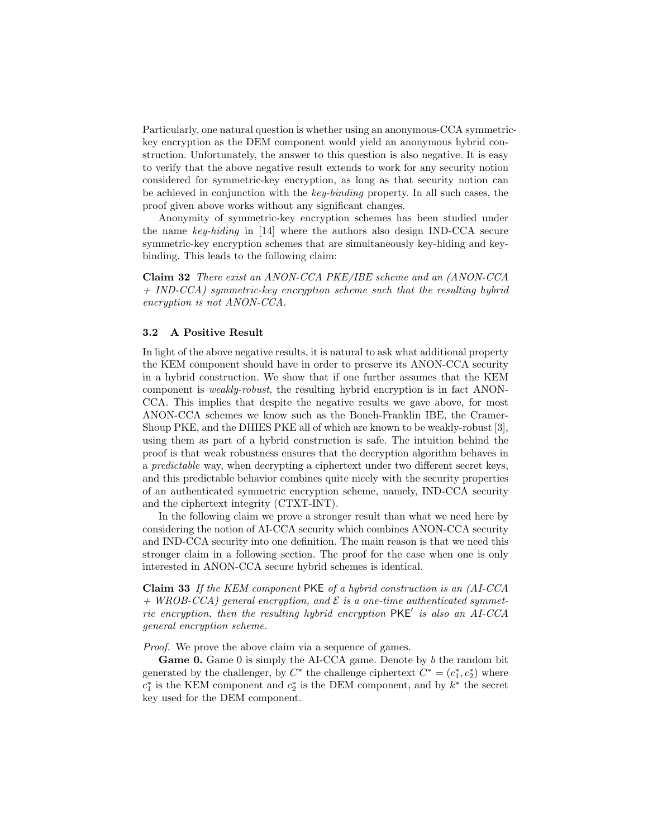Particularly, one natural question is whether using an anonymous-CCA symmetrickey encryption as the DEM component would yield an anonymous hybrid construction. Unfortunately, the answer to this question is also negative. It is easy to verify that the above negative result extends to work for any security notion considered for symmetric-key encryption, as long as that security notion can be achieved in conjunction with the *key-binding* property. In all such cases, the proof given above works without any significant changes.

Anonymity of symmetric-key encryption schemes has been studied under the name *key-hiding* in [14] where the authors also design IND-CCA secure symmetric-key encryption schemes that are simultaneously key-hiding and keybinding. This leads to the following claim:

**Claim 32** *There exist an ANON-CCA PKE/IBE scheme and an (ANON-CCA + IND-CCA) symmetric-key encryption scheme such that the resulting hybrid encryption is not ANON-CCA.*

#### **3.2 A Positive Result**

In light of the above negative results, it is natural to ask what additional property the KEM component should have in order to preserve its ANON-CCA security in a hybrid construction. We show that if one further assumes that the KEM component is *weakly-robust*, the resulting hybrid encryption is in fact ANON-CCA. This implies that despite the negative results we gave above, for most ANON-CCA schemes we know such as the Boneh-Franklin IBE, the Cramer-Shoup PKE, and the DHIES PKE all of which are known to be weakly-robust [3], using them as part of a hybrid construction is safe. The intuition behind the proof is that weak robustness ensures that the decryption algorithm behaves in a *predictable* way, when decrypting a ciphertext under two different secret keys, and this predictable behavior combines quite nicely with the security properties of an authenticated symmetric encryption scheme, namely, IND-CCA security and the ciphertext integrity (CTXT-INT).

In the following claim we prove a stronger result than what we need here by considering the notion of AI-CCA security which combines ANON-CCA security and IND-CCA security into one definition. The main reason is that we need this stronger claim in a following section. The proof for the case when one is only interested in ANON-CCA secure hybrid schemes is identical.

**Claim 33** *If the KEM component* PKE *of a hybrid construction is an (AI-CCA + WROB-CCA) general encryption, and E is a one-time authenticated symmetric encryption, then the resulting hybrid encryption* PKE*′ is also an AI-CCA general encryption scheme.*

*Proof.* We prove the above claim via a sequence of games.

**Game 0.** Game 0 is simply the AI-CCA game. Denote by *b* the random bit generated by the challenger, by  $C^*$  the challenge ciphertext  $C^* = (c_1^*, c_2^*)$  where  $c_1^*$  is the KEM component and  $c_2^*$  is the DEM component, and by  $k^*$  the secret key used for the DEM component.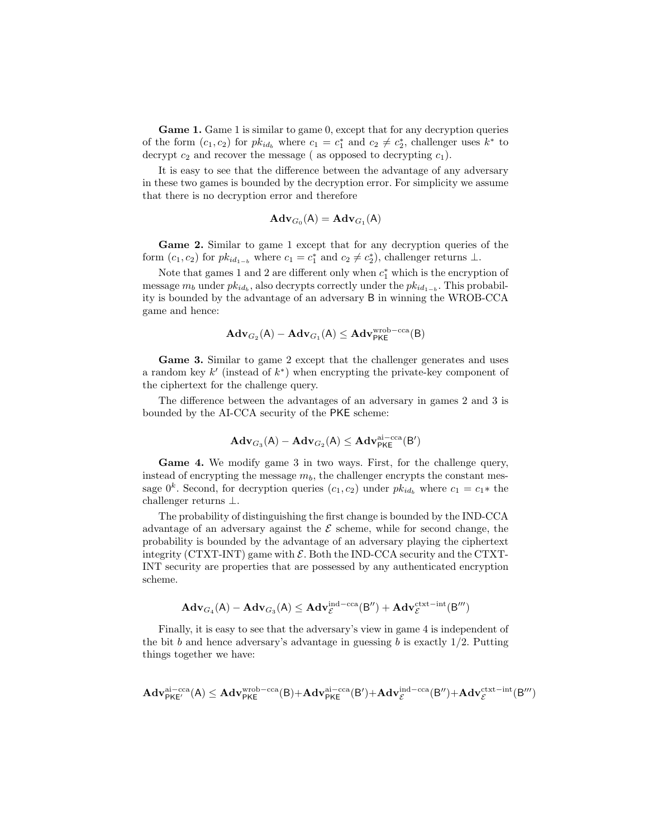**Game 1.** Game 1 is similar to game 0, except that for any decryption queries of the form  $(c_1, c_2)$  for  $pk_{id_b}$  where  $c_1 = c_1^*$  and  $c_2 \neq c_2^*$ , challenger uses  $k^*$  to decrypt  $c_2$  and recover the message (as opposed to decrypting  $c_1$ ).

It is easy to see that the difference between the advantage of any adversary in these two games is bounded by the decryption error. For simplicity we assume that there is no decryption error and therefore

$$
\mathbf{Adv}_{G_0}(\mathsf{A}) = \mathbf{Adv}_{G_1}(\mathsf{A})
$$

**Game 2.** Similar to game 1 except that for any decryption queries of the form  $(c_1, c_2)$  for  $pk_{id_{1-b}}$  where  $c_1 = c_1^*$  and  $c_2 \neq c_2^*$ , challenger returns  $\perp$ .

Note that games 1 and 2 are different only when  $c_1^*$  which is the encryption of message  $m_b$  under  $pk_{id_b}$ , also decrypts correctly under the  $pk_{id_{1-b}}$ . This probability is bounded by the advantage of an adversary B in winning the WROB-CCA game and hence:

$$
\mathbf{Adv}_{G_2}(\mathsf{A}) - \mathbf{Adv}_{G_1}(\mathsf{A}) \leq \mathbf{Adv}_{\mathsf{PKE}}^{\mathrm{wrob-cca}}(\mathsf{B})
$$

**Game 3.** Similar to game 2 except that the challenger generates and uses a random key  $k'$  (instead of  $k^*$ ) when encrypting the private-key component of the ciphertext for the challenge query.

The difference between the advantages of an adversary in games 2 and 3 is bounded by the AI-CCA security of the PKE scheme:

$$
\mathbf{Adv}_{G_3}(\mathsf{A}) - \mathbf{Adv}_{G_2}(\mathsf{A}) \leq \mathbf{Adv}_{\mathsf{PKE}}^{\mathrm{ai-cca}}(\mathsf{B}')
$$

Game 4. We modify game 3 in two ways. First, for the challenge query, instead of encrypting the message  $m_b$ , the challenger encrypts the constant message  $0^k$ . Second, for decryption queries  $(c_1, c_2)$  under  $pk_{id_b}$  where  $c_1 = c_1 *$  the challenger returns *⊥*.

The probability of distinguishing the first change is bounded by the IND-CCA advantage of an adversary against the  $\mathcal E$  scheme, while for second change, the probability is bounded by the advantage of an adversary playing the ciphertext integrity (CTXT-INT) game with  $\mathcal E$ . Both the IND-CCA security and the CTXT-INT security are properties that are possessed by any authenticated encryption scheme.

$$
\mathbf{Adv}_{G_4}(\mathsf{A}) - \mathbf{Adv}_{G_3}(\mathsf{A}) \leq \mathbf{Adv}^{\operatorname{ind}-\operatorname{cca}}_{\mathcal{E}}(\mathsf{B}'') + \mathbf{Adv}^{\operatorname{ctxt}-\operatorname{int}}_{\mathcal{E}}(\mathsf{B}''')
$$

Finally, it is easy to see that the adversary's view in game 4 is independent of the bit *b* and hence adversary's advantage in guessing *b* is exactly 1*/*2. Putting things together we have:

$$
\mathbf{Adv}_{\mathsf{PKE}'}^{\mathrm{ai-cca}}(A) \leq \mathbf{Adv}_{\mathsf{PKE}}^{\mathrm{wrob-cca}}(B) + \mathbf{Adv}_{\mathsf{PKE}}^{\mathrm{ai-cca}}(B') + \mathbf{Adv}_{\mathcal{E}}^{\mathrm{ind-cca}}(B'') + \mathbf{Adv}_{\mathcal{E}}^{\mathrm{ctxt-lint}}(B''')
$$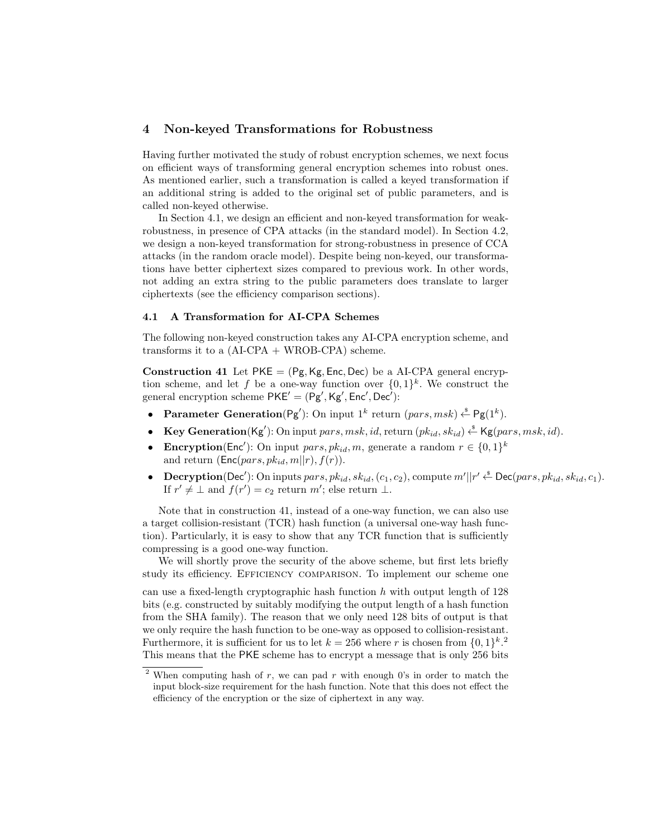### **4 Non-keyed Transformations for Robustness**

Having further motivated the study of robust encryption schemes, we next focus on efficient ways of transforming general encryption schemes into robust ones. As mentioned earlier, such a transformation is called a keyed transformation if an additional string is added to the original set of public parameters, and is called non-keyed otherwise.

In Section 4.1, we design an efficient and non-keyed transformation for weakrobustness, in presence of CPA attacks (in the standard model). In Section 4.2, we design a non-keyed transformation for strong-robustness in presence of CCA attacks (in the random oracle model). Despite being non-keyed, our transformations have better ciphertext sizes compared to previous work. In other words, not adding an extra string to the public parameters does translate to larger ciphertexts (see the efficiency comparison sections).

#### **4.1 A Transformation for AI-CPA Schemes**

The following non-keyed construction takes any AI-CPA encryption scheme, and transforms it to a  $(AI-CPA + WROB-CPA)$  scheme.

**Construction 41** Let PKE = (Pg*,*Kg*,* Enc*,* Dec) be a AI-CPA general encryption scheme, and let f be a one-way function over  $\{0,1\}^k$ . We construct the general encryption scheme PKE*′* = (Pg*′ ,*Kg*′ ,* Enc*′ ,* Dec*′* ):

- **Parameter Generation**( $\text{Pg}'$ ): On input  $1^k$  return (*pars, msk*)  $\overset{\$}{\leftarrow} \text{Pg}(1^k)$ .
- *•* **Key Generation**(Kg*′* ): On input *pars, msk, id*, return (*pkid, skid*) \$*←* Kg(*pars, msk, id*).
- **• Encryption**( $\text{Enc}^{\prime}$ ): On input *pars, pk*<sub>*id</sub>, m*, generate a random  $r \in \{0,1\}^k$ </sub> and return  $(Enc(pars, pk_{id}, m||r), f(r)).$
- Decryption(Dec'): On inputs  $pars, pk_{id}, sk_{id}, (c_1, c_2)$ , compute  $m'||r' \stackrel{\$}{\leftarrow}$  Dec( $pars, pk_{id}, sk_{id}, c_1$ ). If  $r' \neq \bot$  and  $f(r') = c_2$  return  $m'$ ; else return  $\bot$ .

Note that in construction 41, instead of a one-way function, we can also use a target collision-resistant (TCR) hash function (a universal one-way hash function). Particularly, it is easy to show that any TCR function that is sufficiently compressing is a good one-way function.

We will shortly prove the security of the above scheme, but first lets briefly study its efficiency. Efficiency comparison. To implement our scheme one

can use a fixed-length cryptographic hash function *h* with output length of 128 bits (e.g. constructed by suitably modifying the output length of a hash function from the SHA family). The reason that we only need 128 bits of output is that we only require the hash function to be one-way as opposed to collision-resistant. Furthermore, it is sufficient for us to let  $k = 256$  where r is chosen from  $\{0, 1\}^k$ <sup>2</sup> This means that the PKE scheme has to encrypt a message that is only 256 bits

<sup>2</sup> When computing hash of *r*, we can pad *r* with enough 0's in order to match the input block-size requirement for the hash function. Note that this does not effect the efficiency of the encryption or the size of ciphertext in any way.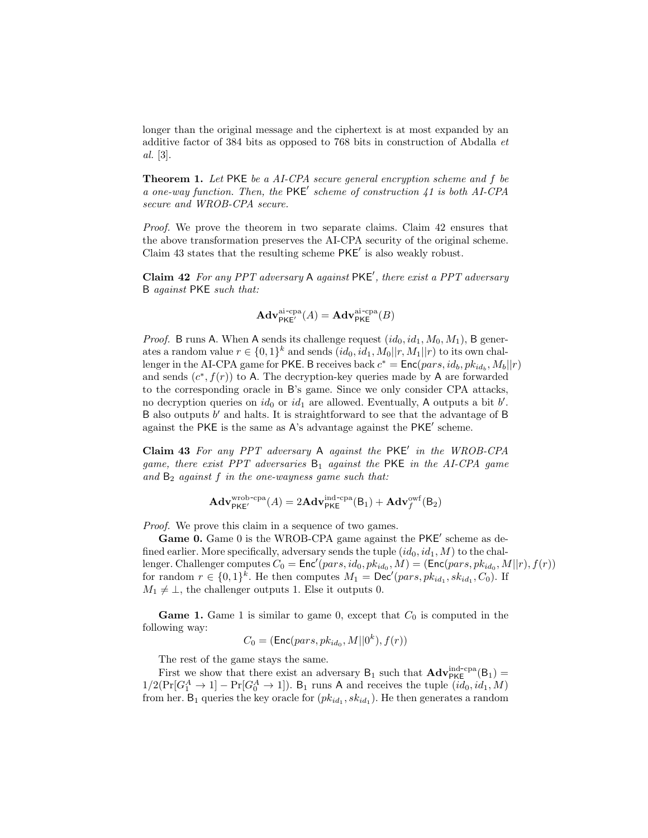longer than the original message and the ciphertext is at most expanded by an additive factor of 384 bits as opposed to 768 bits in construction of Abdalla *et al.* [3].

**Theorem 1.** *Let* PKE *be a AI-CPA secure general encryption scheme and f be a one-way function. Then, the* PKE*′ scheme of construction 41 is both AI-CPA secure and WROB-CPA secure.*

*Proof.* We prove the theorem in two separate claims. Claim 42 ensures that the above transformation preserves the AI-CPA security of the original scheme. Claim 43 states that the resulting scheme PKE*′* is also weakly robust.

**Claim 42** *For any PPT adversary* A *against* PKE*′ , there exist a PPT adversary* B *against* PKE *such that:*

$$
\mathbf{Adv}_{\mathsf{PKE}'}^{\text{ai-cpa}}(A) = \mathbf{Adv}_{\mathsf{PKE}}^{\text{ai-cpa}}(B)
$$

*Proof.* B runs A. When A sends its challenge request  $(id_0, id_1, M_0, M_1)$ , B generates a random value  $r \in \{0, 1\}^k$  and sends  $(id_0, id_1, M_0 || r, M_1 || r)$  to its own challenger in the AI-CPA game for PKE. B receives back  $c^* = \text{Enc}(pars, id_b, pk_{id_b}, M_b || r)$ and sends  $(c^*, f(r))$  to A. The decryption-key queries made by A are forwarded to the corresponding oracle in B's game. Since we only consider CPA attacks, no decryption queries on  $id_0$  or  $id_1$  are allowed. Eventually, A outputs a bit  $b'$ . B also outputs *b ′* and halts. It is straightforward to see that the advantage of B against the PKE is the same as A's advantage against the PKE*′* scheme.

**Claim 43** *For any PPT adversary* A *against the* PKE*′ in the WROB-CPA game, there exist PPT adversaries*  $B_1$  *against the* PKE *in the AI-CPA game and* B<sup>2</sup> *against f in the one-wayness game such that:*

$$
\mathbf{Adv}_{\mathsf{PKE}'}^{\mathrm{wrob-cpa}}(A) = 2\mathbf{Adv}_{\mathsf{PKE}}^{\mathrm{ind-cpa}}(B_1) + \mathbf{Adv}_{f}^{\mathrm{owf}}(B_2)
$$

*Proof.* We prove this claim in a sequence of two games.

**Game 0.** Game 0 is the WROB-CPA game against the PKE*′* scheme as defined earlier. More specifically, adversary sends the tuple  $(id_0, id_1, M)$  to the challenger. Challenger computes  $C_0 = \text{Enc}'(pars, id_0, pk_{id_0}, M) = (\text{Enc}(pars, pk_{id_0}, M || r), f(r))$ for random  $r \in \{0,1\}^k$ . He then computes  $M_1 = \text{Dec}'(pars, pk_{id_1}, sk_{id_1}, C_0)$ . If  $M_1 \neq \perp$ , the challenger outputs 1. Else it outputs 0.

**Game 1.** Game 1 is similar to game 0, except that  $C_0$  is computed in the following way:

$$
C_0 = (\mathsf{Enc}(pars, pk_{id_0}, M || 0^k), f(r))
$$

The rest of the game stays the same.

First we show that there exist an adversary  $B_1$  such that  $\mathbf{Adv}_{\mathsf{PKE}}^{\text{ind-cpa}}(B_1)$  =  $1/2(\Pr[G_1^A \to 1] - \Pr[G_0^A \to 1])$ . B<sub>1</sub> runs A and receives the tuple  $(id_0, id_1, M)$ from her.  $B_1$  queries the key oracle for  $(pk_{id_1}, sk_{id_1})$ . He then generates a random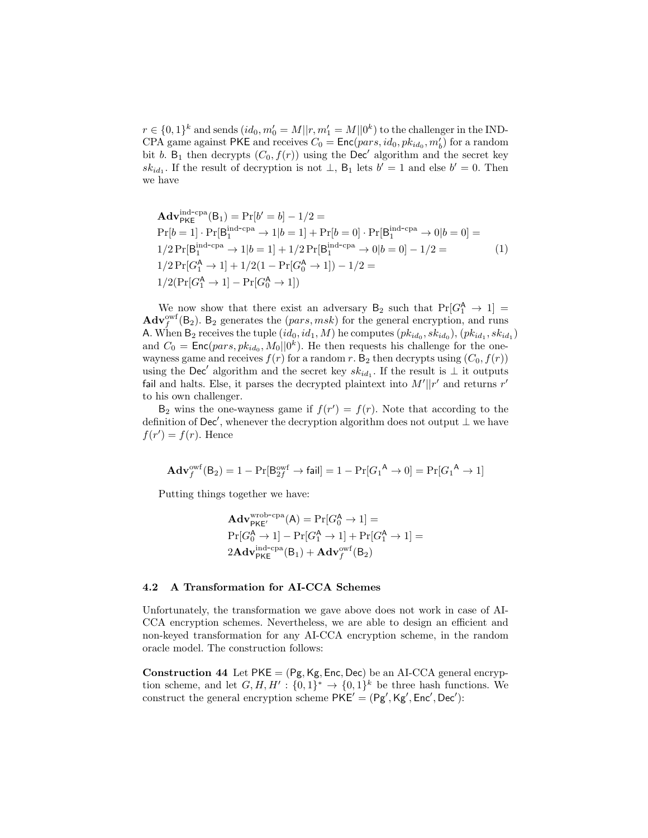$r \in \{0, 1\}^k$  and sends  $(id_0, m'_0 = M || r, m'_1 = M || 0^k)$  to the challenger in the IND-CPA game against PKE and receives  $C_0 = \text{Enc}(pars, id_0, pk_{id_0}, m'_b)$  for a random bit *b*. B<sub>1</sub> then decrypts  $(C_0, f(r))$  using the Dec<sup>'</sup> algorithm and the secret key  $sk_{id_1}$ . If the result of decryption is not  $\perp$ ,  $B_1$  lets  $b' = 1$  and else  $b' = 0$ . Then we have

$$
\mathbf{Adv}_{\mathsf{PKE}}^{\text{ind-cpa}}(\mathsf{B}_1) = \Pr[b' = b] - 1/2 =
$$
\n
$$
\Pr[b = 1] \cdot \Pr[\mathsf{B}_1^{\text{ind-cpa}} \to 1|b = 1] + \Pr[b = 0] \cdot \Pr[\mathsf{B}_1^{\text{ind-cpa}} \to 0|b = 0] =
$$
\n
$$
1/2 \Pr[\mathsf{B}_1^{\text{ind-cpa}} \to 1|b = 1] + 1/2 \Pr[\mathsf{B}_1^{\text{ind-cpa}} \to 0|b = 0] - 1/2 =
$$
\n
$$
1/2 \Pr[G_1^{\mathsf{A}} \to 1] + 1/2(1 - \Pr[G_0^{\mathsf{A}} \to 1]) - 1/2 =
$$
\n
$$
1/2(\Pr[G_1^{\mathsf{A}} \to 1] - \Pr[G_0^{\mathsf{A}} \to 1])
$$
\n(1)

We now show that there exist an adversary  $B_2$  such that  $Pr[G_1^A \rightarrow 1] =$  $\mathbf{Adv}_{f}^{\text{owf}}(\mathsf{B}_2)$ .  $\mathsf{B}_2$  generates the *(pars, msk)* for the general encryption, and runs A. When  $B_2$  receives the tuple  $(id_0, id_1, M)$  he computes  $(pk_{id_0}, sk_{id_0}), (pk_{id_1}, sk_{id_1})$ and  $C_0 = \text{Enc}(pars, pk_{id_0}, M_0 || 0^k)$ . He then requests his challenge for the onewayness game and receives  $f(r)$  for a random *r*. B<sub>2</sub> then decrypts using  $(C_0, f(r))$ using the Dec<sup>'</sup> algorithm and the secret key  $sk_{id_1}$ . If the result is  $\perp$  it outputs fail and halts. Else, it parses the decrypted plaintext into *M′ ||r ′* and returns *r ′* to his own challenger.

 $B_2$  wins the one-wayness game if  $f(r') = f(r)$ . Note that according to the definition of Dec*′* , whenever the decryption algorithm does not output *⊥* we have  $f(r') = f(r)$ . Hence

$$
\mathbf{Adv}^{\text{owf}}_f(\mathsf{B}_2) = 1 - \Pr[\mathsf{B}_{2f}^{\text{owf}} \to \mathsf{fail}] = 1 - \Pr[G_1^{\mathsf{A}} \to 0] = \Pr[G_1^{\mathsf{A}} \to 1]
$$

Putting things together we have:

$$
\begin{aligned} &\mathbf{Adv}_{\mathsf{PKE}'}^{\mathrm{wrob-cpa}}(\mathsf{A}) = \Pr[G_0^{\mathsf{A}} \to 1] = \\ &\Pr[G_0^{\mathsf{A}} \to 1] - \Pr[G_1^{\mathsf{A}} \to 1] + \Pr[G_1^{\mathsf{A}} \to 1] = \\ &2\mathbf{Adv}_{\mathsf{PKE}}^{\mathrm{ind-cpa}}(\mathsf{B}_1) + \mathbf{Adv}_{f}^{\mathrm{owf}}(\mathsf{B}_2) \end{aligned}
$$

#### **4.2 A Transformation for AI-CCA Schemes**

Unfortunately, the transformation we gave above does not work in case of AI-CCA encryption schemes. Nevertheless, we are able to design an efficient and non-keyed transformation for any AI-CCA encryption scheme, in the random oracle model. The construction follows:

**Construction 44** Let PKE = (Pg*,*Kg*,* Enc*,* Dec) be an AI-CCA general encryption scheme, and let  $G, H, H' : \{0, 1\}^* \to \{0, 1\}^k$  be three hash functions. We construct the general encryption scheme  $PKE' = (Pg', Kg', Enc', Dec')$ :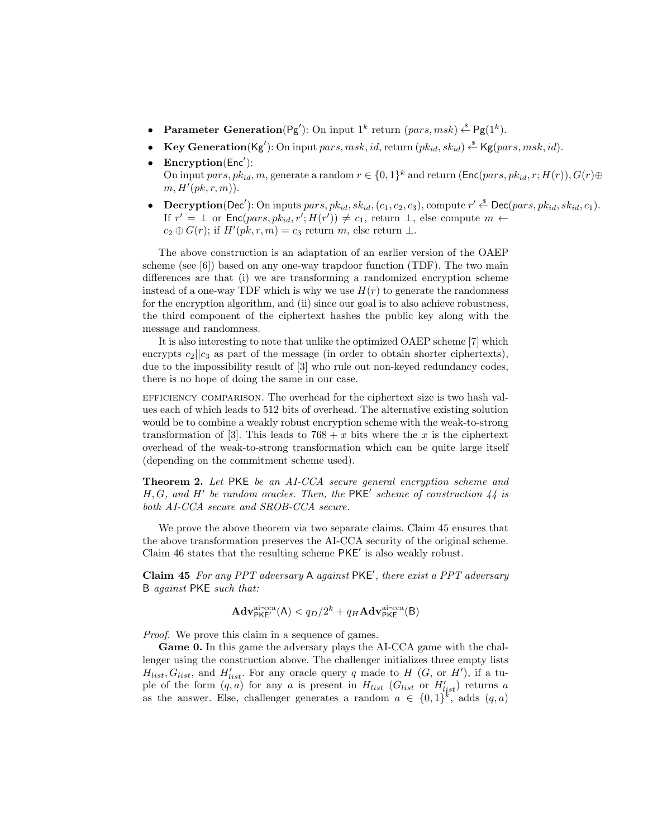- **Parameter Generation**( $Pg'$ ): On input  $1^k$  return (*pars, msk*)  $\stackrel{\$}{\leftarrow} Pg(1^k)$ .
- *•* **Key Generation**(Kg*′* ): On input *pars, msk, id*, return (*pkid, skid*) \$*←* Kg(*pars, msk, id*).
- *•* **Encryption**(Enc*′* ): On input  $pars, pk_{id}, m$ , generate a random  $r \in \{0, 1\}^k$  and return ( $\textsf{Enc}(pars, pk_{id}, r; H(r)), G(r) \oplus$ *m, H′* (*pk, r, m*)).
- Decryption(Dec'): On inputs  $pars, pk_{id}, sk_{id}, (c_1, c_2, c_3)$ , compute  $r' \stackrel{\$}{\leftarrow}$  Dec( $pars, pk_{id}, sk_{id}, c_1$ ). If  $r' = \bot$  or  $\mathsf{Enc}(pars, pk_{id}, r'; H(r')) \neq c_1$ , return  $\bot$ , else compute  $m \leftarrow$  $c_2 \oplus G(r)$ ; if  $H'(pk, r, m) = c_3$  return *m*, else return *⊥*.

The above construction is an adaptation of an earlier version of the OAEP scheme (see  $[6]$ ) based on any one-way trapdoor function (TDF). The two main differences are that (i) we are transforming a randomized encryption scheme instead of a one-way TDF which is why we use  $H(r)$  to generate the randomness for the encryption algorithm, and (ii) since our goal is to also achieve robustness, the third component of the ciphertext hashes the public key along with the message and randomness.

It is also interesting to note that unlike the optimized OAEP scheme [7] which encrypts  $c_2||c_3$  as part of the message (in order to obtain shorter ciphertexts), due to the impossibility result of [3] who rule out non-keyed redundancy codes, there is no hope of doing the same in our case.

efficiency comparison. The overhead for the ciphertext size is two hash values each of which leads to 512 bits of overhead. The alternative existing solution would be to combine a weakly robust encryption scheme with the weak-to-strong transformation of [3]. This leads to  $768 + x$  bits where the x is the ciphertext overhead of the weak-to-strong transformation which can be quite large itself (depending on the commitment scheme used).

**Theorem 2.** *Let* PKE *be an AI-CCA secure general encryption scheme and H, G, and H′ be random oracles. Then, the* PKE*′ scheme of construction 44 is both AI-CCA secure and SROB-CCA secure.*

We prove the above theorem via two separate claims. Claim 45 ensures that the above transformation preserves the AI-CCA security of the original scheme. Claim 46 states that the resulting scheme PKE*′* is also weakly robust.

**Claim 45** *For any PPT adversary* A *against* PKE*′ , there exist a PPT adversary* B *against* PKE *such that:*

$$
\mathbf{Adv}_{\mathsf{PKE}'}^{\text{ai-cca}}(\mathsf{A}) < q_D/2^k + q_H \mathbf{Adv}_{\mathsf{PKE}}^{\text{ai-cca}}(\mathsf{B})
$$

*Proof.* We prove this claim in a sequence of games.

**Game 0.** In this game the adversary plays the AI-CCA game with the challenger using the construction above. The challenger initializes three empty lists  $H_{list}, G_{list}$ , and  $H'_{list}$ . For any oracle query *q* made to *H* (*G*, or *H'*), if a tuple of the form  $(q, a)$  for any *a* is present in  $H_{list}$  ( $G_{list}$  or  $H'_{list}$ ) returns *a* as the answer. Else, challenger generates a random  $a \in \{0,1\}^k$ , adds  $(q, a)$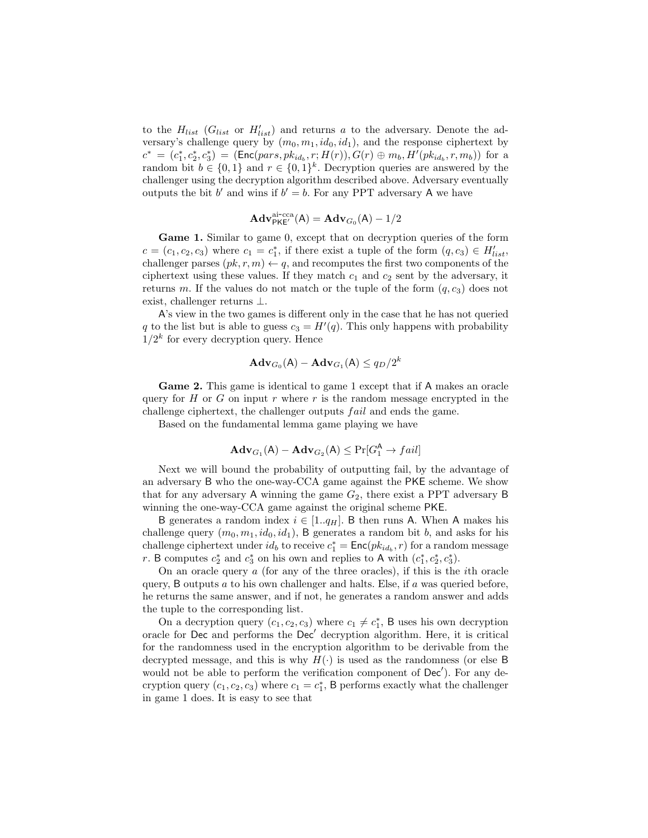to the  $H_{list}$  ( $G_{list}$  or  $H'_{list}$ ) and returns *a* to the adversary. Denote the adversary's challenge query by  $(m_0, m_1, id_0, id_1)$ , and the response ciphertext by  $c^* = (c_1^*, c_2^*, c_3^*) = (Enc(pars, pk_{id_b}, r; H(r)), G(r) \oplus m_b, H'(pk_{id_b}, r, m_b))$  for a random bit  $b \in \{0, 1\}$  and  $r \in \{0, 1\}^k$ . Decryption queries are answered by the challenger using the decryption algorithm described above. Adversary eventually outputs the bit  $b'$  and wins if  $b' = b$ . For any PPT adversary A we have

$$
\mathbf{Adv}_{\mathsf{PKE}'}^{\text{ai-cca}}(\mathsf{A}) = \mathbf{Adv}_{G_0}(\mathsf{A}) - 1/2
$$

**Game 1.** Similar to game 0, except that on decryption queries of the form  $c = (c_1, c_2, c_3)$  where  $c_1 = c_1^*$ , if there exist a tuple of the form  $(q, c_3) \in H'_{list}$ , challenger parses  $(pk, r, m) \leftarrow q$ , and recomputes the first two components of the ciphertext using these values. If they match  $c_1$  and  $c_2$  sent by the adversary, it returns *m*. If the values do not match or the tuple of the form  $(q, c_3)$  does not exist, challenger returns *⊥*.

A's view in the two games is different only in the case that he has not queried *q* to the list but is able to guess  $c_3 = H'(q)$ . This only happens with probability  $1/2^k$  for every decryption query. Hence

$$
\mathbf{Adv}_{G_0}(\mathsf{A}) - \mathbf{Adv}_{G_1}(\mathsf{A}) \le q_D/2^k
$$

**Game 2.** This game is identical to game 1 except that if A makes an oracle query for *H* or *G* on input *r* where *r* is the random message encrypted in the challenge ciphertext, the challenger outputs *f ail* and ends the game.

Based on the fundamental lemma game playing we have

$$
\mathbf{Adv}_{G_1}(\mathsf{A}) - \mathbf{Adv}_{G_2}(\mathsf{A}) \le \Pr[G_1^{\mathsf{A}} \to fail]
$$

Next we will bound the probability of outputting fail, by the advantage of an adversary B who the one-way-CCA game against the PKE scheme. We show that for any adversary  $A$  winning the game  $G_2$ , there exist a PPT adversary  $B$ winning the one-way-CCA game against the original scheme PKE.

B generates a random index  $i \in [1..q<sub>H</sub>]$ . B then runs A. When A makes his challenge query  $(m_0, m_1, id_0, id_1)$ , B generates a random bit *b*, and asks for his challenge ciphertext under  $id_b$  to receive  $c_1^* = \text{Enc}(pk_{id_b}, r)$  for a random message *r*. B computes  $c_2^*$  and  $c_3^*$  on his own and replies to A with  $(c_1^*, c_2^*, c_3^*)$ .

On an oracle query *a* (for any of the three oracles), if this is the *i*th oracle query, B outputs *a* to his own challenger and halts. Else, if *a* was queried before, he returns the same answer, and if not, he generates a random answer and adds the tuple to the corresponding list.

On a decryption query  $(c_1, c_2, c_3)$  where  $c_1 \neq c_1^*$ , B uses his own decryption oracle for Dec and performs the Dec*′* decryption algorithm. Here, it is critical for the randomness used in the encryption algorithm to be derivable from the decrypted message, and this is why  $H(\cdot)$  is used as the randomness (or else B would not be able to perform the verification component of Dec*′* ). For any decryption query  $(c_1, c_2, c_3)$  where  $c_1 = c_1^*$ , B performs exactly what the challenger in game 1 does. It is easy to see that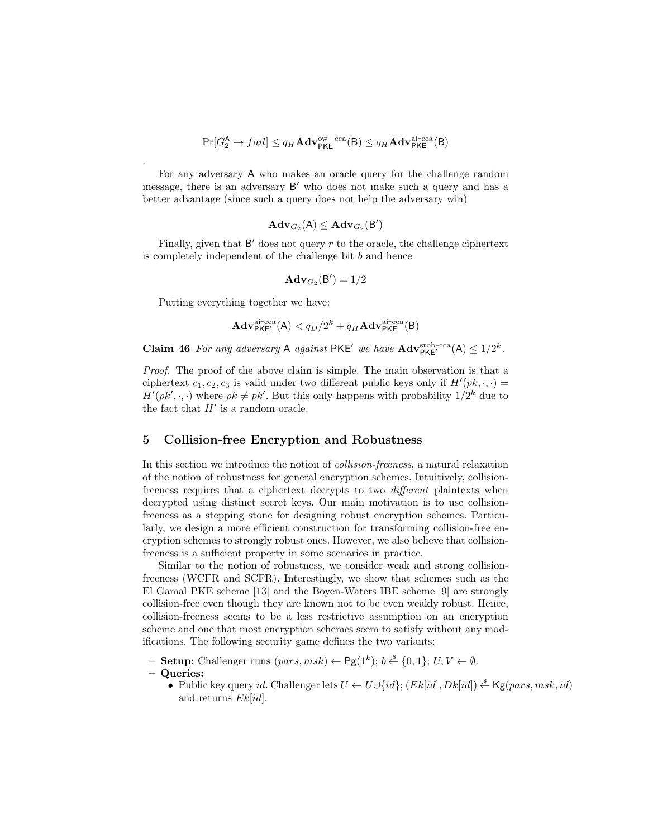$$
\Pr[G_2^{\mathsf{A}} \to fail] \leq q_H \mathbf{Adv}_{\mathsf{PKE}}^{\text{ow-cca}}(\mathsf{B}) \leq q_H \mathbf{Adv}_{\mathsf{PKE}}^{\text{ai-cca}}(\mathsf{B})
$$

For any adversary A who makes an oracle query for the challenge random message, there is an adversary B *′* who does not make such a query and has a better advantage (since such a query does not help the adversary win)

$$
\mathbf{Adv}_{G_2}(\mathsf{A}) \leq \mathbf{Adv}_{G_2}(\mathsf{B}')
$$

Finally, given that B' does not query r to the oracle, the challenge ciphertext is completely independent of the challenge bit *b* and hence

$$
\mathbf{Adv}_{G_2}(\mathsf{B}')=1/2
$$

Putting everything together we have:

.

$$
\mathbf{Adv}_{\mathsf{PKE}'}^{\text{ai-cca}}(\mathsf{A}) < q_D/2^k + q_H \mathbf{Adv}_{\mathsf{PKE}}^{\text{ai-cca}}(\mathsf{B})
$$

**Claim 46** For any adversary A against PKE<sup> $\prime$ </sup> we have  $\mathbf{Adv}_{\mathsf{PKE}^{\prime}}^{\text{srob-cca}}(A) \leq 1/2^k$ .

*Proof.* The proof of the above claim is simple. The main observation is that a ciphertext  $c_1, c_2, c_3$  is valid under two different public keys only if  $H'(pk, \cdot, \cdot)$  $H'(pk', \cdot, \cdot)$  where  $pk \neq pk'$ . But this only happens with probability  $1/2^k$  due to the fact that  $H'$  is a random oracle.

# **5 Collision-free Encryption and Robustness**

In this section we introduce the notion of *collision-freeness*, a natural relaxation of the notion of robustness for general encryption schemes. Intuitively, collisionfreeness requires that a ciphertext decrypts to two *different* plaintexts when decrypted using distinct secret keys. Our main motivation is to use collisionfreeness as a stepping stone for designing robust encryption schemes. Particularly, we design a more efficient construction for transforming collision-free encryption schemes to strongly robust ones. However, we also believe that collisionfreeness is a sufficient property in some scenarios in practice.

Similar to the notion of robustness, we consider weak and strong collisionfreeness (WCFR and SCFR). Interestingly, we show that schemes such as the El Gamal PKE scheme [13] and the Boyen-Waters IBE scheme [9] are strongly collision-free even though they are known not to be even weakly robust. Hence, collision-freeness seems to be a less restrictive assumption on an encryption scheme and one that most encryption schemes seem to satisfy without any modifications. The following security game defines the two variants:

- **– Setup:** Challenger runs (*pars, msk*) *←* Pg(1*<sup>k</sup>* ); *b* \$*← {*0*,* 1*}*; *U, V ← ∅*.
- **– Queries:**
	- *•* Public key query *id*. Challenger lets *U ← U∪{id}*; (*Ek*[*id*]*, Dk*[*id*]) \$*←* Kg(*pars, msk, id*) and returns *Ek*[*id*].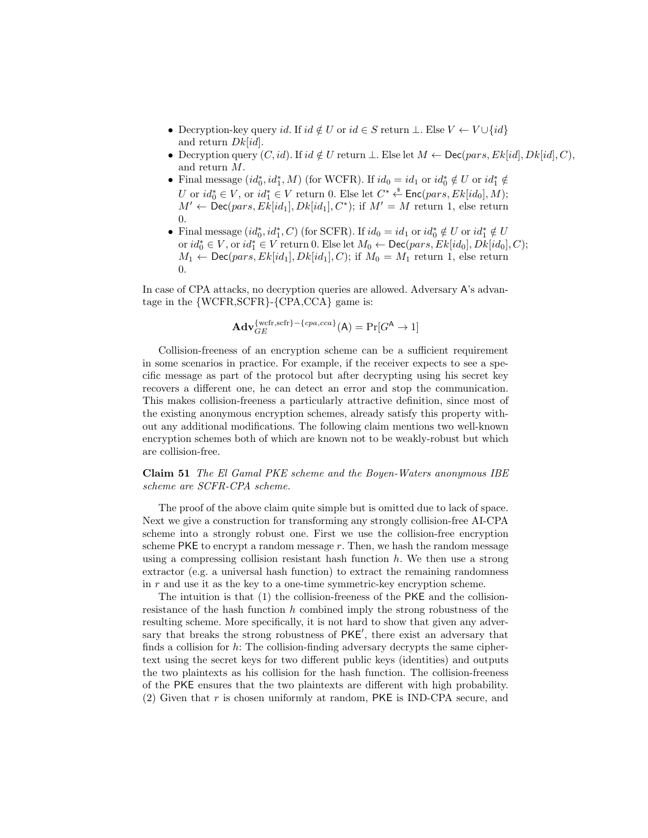- Decryption-key query *id*. If  $id \notin U$  or  $id \in S$  return  $\bot$ . Else  $V \leftarrow V \cup \{id\}$ and return *Dk*[*id*].
- Decryption query  $(C, id)$ . If  $id \notin U$  return ⊥. Else let  $M \leftarrow \text{Dec}(pars, Ek[id], Dkl[d], C)$ , and return *M*.
- Final message  $(id_0^*, id_1^*, M)$  (for WCFR). If  $id_0 = id_1$  or  $id_0^* \notin U$  or  $id_1^* \notin$ *U* or  $id_0^* \in V$ , or  $id_1^* \in V$  return 0. Else let  $C^* \xleftarrow{\$} \textsf{Enc}(pars, Ek[id_0], M);$  $M' \leftarrow \text{Dec}(pars, Ek[id_1], Dk[id_1], C^*)$ ; if  $M' = M$  return 1, else return 0.
- *•* Final message  $(id_0^*, id_1^*, C)$  (for SCFR). If  $id_0 = id_1$  or  $id_0^* \notin U$  or  $id_1^* \notin U$  $\text{or } id_0^* \in V, \text{ or } id_1^* \in V \text{ return } 0. \text{ Else let } M_0 \leftarrow \text{Dec}(pars, Ek[id_0], Dkl[d_0], C);$  $M_1 \leftarrow \text{Dec}(pars, Ek[id_1], Dk[id_1], C)$ ; if  $M_0 = M_1$  return 1, else return 0.

In case of CPA attacks, no decryption queries are allowed. Adversary A's advantage in the *{*WCFR,SCFR*}*-*{*CPA,CCA*}* game is:

$$
\mathbf{Adv}_{GE}^{\{\text{wcfr},\text{scfr}\}-\{cpa,cca\}}(\mathsf{A}) = \Pr[G^{\mathsf{A}} \to 1]
$$

Collision-freeness of an encryption scheme can be a sufficient requirement in some scenarios in practice. For example, if the receiver expects to see a specific message as part of the protocol but after decrypting using his secret key recovers a different one, he can detect an error and stop the communication. This makes collision-freeness a particularly attractive definition, since most of the existing anonymous encryption schemes, already satisfy this property without any additional modifications. The following claim mentions two well-known encryption schemes both of which are known not to be weakly-robust but which are collision-free.

**Claim 51** *The El Gamal PKE scheme and the Boyen-Waters anonymous IBE scheme are SCFR-CPA scheme.*

The proof of the above claim quite simple but is omitted due to lack of space. Next we give a construction for transforming any strongly collision-free AI-CPA scheme into a strongly robust one. First we use the collision-free encryption scheme PKE to encrypt a random message *r*. Then, we hash the random message using a compressing collision resistant hash function *h*. We then use a strong extractor (e.g. a universal hash function) to extract the remaining randomness in *r* and use it as the key to a one-time symmetric-key encryption scheme.

The intuition is that (1) the collision-freeness of the PKE and the collisionresistance of the hash function *h* combined imply the strong robustness of the resulting scheme. More specifically, it is not hard to show that given any adversary that breaks the strong robustness of PKE*′* , there exist an adversary that finds a collision for *h*: The collision-finding adversary decrypts the same ciphertext using the secret keys for two different public keys (identities) and outputs the two plaintexts as his collision for the hash function. The collision-freeness of the PKE ensures that the two plaintexts are different with high probability. (2) Given that *r* is chosen uniformly at random, PKE is IND-CPA secure, and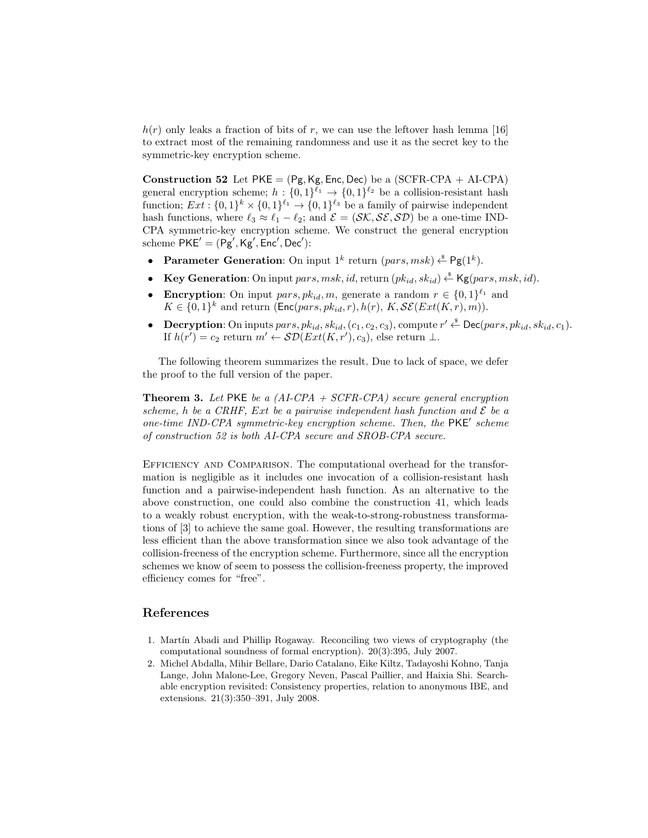$h(r)$  only leaks a fraction of bits of r, we can use the leftover hash lemma [16] to extract most of the remaining randomness and use it as the secret key to the symmetric-key encryption scheme.

**Construction 52** Let PKE = (Pg*,*Kg*,* Enc*,* Dec) be a (SCFR-CPA + AI-CPA) general encryption scheme;  $h: \{0,1\}^{\ell_1} \to \{0,1\}^{\ell_2}$  be a collision-resistant hash function;  $Ext : \{0,1\}^k \times \{0,1\}^{\ell_1} \to \{0,1\}^{\ell_3}$  be a family of pairwise independent hash functions, where  $\ell_3 \approx \ell_1 - \ell_2$ ; and  $\mathcal{E} = (\mathcal{SK}, \mathcal{SE}, \mathcal{SD})$  be a one-time IND-CPA symmetric-key encryption scheme. We construct the general encryption scheme PKE*′* = (Pg*′ ,*Kg*′ ,* Enc*′ ,* Dec*′* ):

- **Parameter Generation**: On input  $1^k$  return  $(pars, msk) \leftarrow$ <sup>§</sup> Pg( $1^k$ ).
- *•* **Key Generation**: On input *pars, msk, id*, return (*pkid, skid*) \$*←* Kg(*pars, msk, id*).
- **Encryption**: On input *pars, pk*<sub>*id</sub>*, *m*, generate a random  $r \in \{0,1\}^{\ell_1}$  and</sub>  $K \in \{0,1\}^k$  and return (Enc(*pars, pk<sub>id</sub>, r*)*, h*(*r*)*, K, SE*(*Ext*(*K, r*)*, m*)).
- **Decryption**: On inputs *pars, pk<sub>id</sub>, sk<sub>id</sub>,* (*c*<sub>1</sub>*, c*<sub>2</sub>*, c*<sub>3</sub>), compute  $r' \stackrel{\$}{\leftarrow}$  Dec(*pars, pk<sub>id</sub>, sk<sub>id</sub>, <i>c*<sub>1</sub>). If  $h(r') = c_2$  return  $m' \leftarrow \mathcal{SD}(Ext(K, r'), c_3)$ , else return ⊥.

The following theorem summarizes the result. Due to lack of space, we defer the proof to the full version of the paper.

**Theorem 3.** *Let* PKE *be a (AI-CPA + SCFR-CPA) secure general encryption scheme, h be a CRHF, Ext be a pairwise independent hash function and*  $\mathcal{E}$  *be a one-time IND-CPA symmetric-key encryption scheme. Then, the* PKE*′ scheme of construction 52 is both AI-CPA secure and SROB-CPA secure.*

Efficiency and Comparison. The computational overhead for the transformation is negligible as it includes one invocation of a collision-resistant hash function and a pairwise-independent hash function. As an alternative to the above construction, one could also combine the construction 41, which leads to a weakly robust encryption, with the weak-to-strong-robustness transformations of [3] to achieve the same goal. However, the resulting transformations are less efficient than the above transformation since we also took advantage of the collision-freeness of the encryption scheme. Furthermore, since all the encryption schemes we know of seem to possess the collision-freeness property, the improved efficiency comes for "free".

# **References**

- 1. Mart´ın Abadi and Phillip Rogaway. Reconciling two views of cryptography (the computational soundness of formal encryption). 20(3):395, July 2007.
- 2. Michel Abdalla, Mihir Bellare, Dario Catalano, Eike Kiltz, Tadayoshi Kohno, Tanja Lange, John Malone-Lee, Gregory Neven, Pascal Paillier, and Haixia Shi. Searchable encryption revisited: Consistency properties, relation to anonymous IBE, and extensions. 21(3):350–391, July 2008.